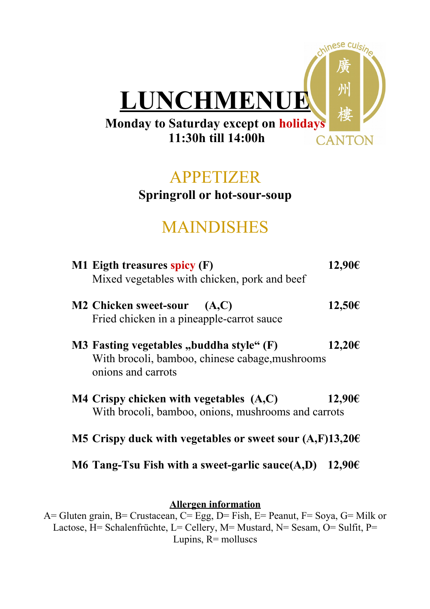

## APPETIZER

## **Springroll or hot-sour-soup**

## MAINDISHES

| M1 Eigth treasures spicy (F)<br>Mixed vegetables with chicken, pork and beef                                      | 12,90€ |
|-------------------------------------------------------------------------------------------------------------------|--------|
| <b>M2 Chicken sweet-sour</b><br>(A,C)<br>Fried chicken in a pineapple-carrot sauce                                | 12,50€ |
| M3 Fasting vegetables "buddha style" (F)<br>With brocoli, bamboo, chinese cabage, mushrooms<br>onions and carrots | 12,20€ |
| $M4$ Crispy chicken with vegetables $(A,C)$<br>With brocoli, bamboo, onions, mushrooms and carrots                | 12,90€ |
| M5 Crispy duck with vegetables or sweet sour $(A,F)13,20 \in$                                                     |        |
| M6 Tang-Tsu Fish with a sweet-garlic sauce $(A,D)$                                                                | 12,90€ |

### **Allergen information**

A= Gluten grain, B= Crustacean, C= Egg, D= Fish, E= Peanut, F= Soya, G= Milk or Lactose, H= Schalenfrüchte, L= Cellery, M= Mustard, N= Sesam,  $\overline{O}$ = Sulfit, P= Lupins,  $\overline{R}$  = molluscs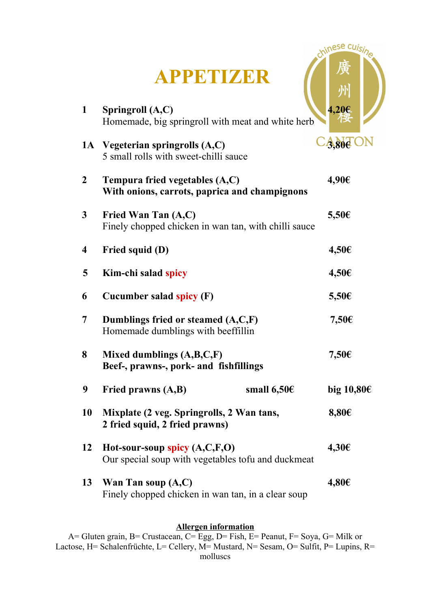|                         | <b>APPETIZER</b>                                                                          | chinese cuis    |
|-------------------------|-------------------------------------------------------------------------------------------|-----------------|
| 1                       | Springroll (A,C)<br>Homemade, big springroll with meat and white herb                     | 4,20€           |
|                         | 1A Vegeterian springrolls (A,C)<br>5 small rolls with sweet-chilli sauce                  | $-3,80e$        |
| $\overline{2}$          | Tempura fried vegetables $(A,C)$<br>With onions, carrots, paprica and champignons         | 4,90€           |
| $\mathbf{3}$            | Fried Wan Tan (A,C)<br>Finely chopped chicken in wan tan, with chilli sauce               | $5,50 \in$      |
| $\overline{\mathbf{4}}$ | Fried squid (D)                                                                           | $4,50 \in$      |
| 5                       | Kim-chi salad spicy                                                                       | $4,50 \in$      |
| 6                       | Cucumber salad spicy (F)                                                                  | $5,50 \in$      |
| 7                       | Dumblings fried or steamed (A,C,F)<br>Homemade dumblings with beeffillin                  | $7,50$ €        |
| 8                       | Mixed dumblings $(A,B,C,F)$<br>Beef-, prawns-, pork- and fishfillings                     | 7,50€           |
| 9                       | Fried prawns (A,B)<br>small $6,50$ €                                                      | big $10,80 \in$ |
| 10                      | Mixplate (2 veg. Springrolls, 2 Wan tans,<br>2 fried squid, 2 fried prawns)               | $8,80 \in$      |
| 12                      | Hot-sour-soup spicy $(A, C, F, O)$<br>Our special soup with vegetables to fu and duckmeat | 4,30€           |
| 13                      | Wan Tan soup $(A,C)$<br>Finely chopped chicken in wan tan, in a clear soup                | $4,80 \in$      |

#### **Allergen information**

A= Gluten grain, B= Crustacean, C= Egg, D= Fish, E= Peanut, F= Soya, G= Milk or Lactose, H= Schalenfrüchte, L= Cellery, M= Mustard, N= Sesam, O= Sulfit, P= Lupins, R= molluscs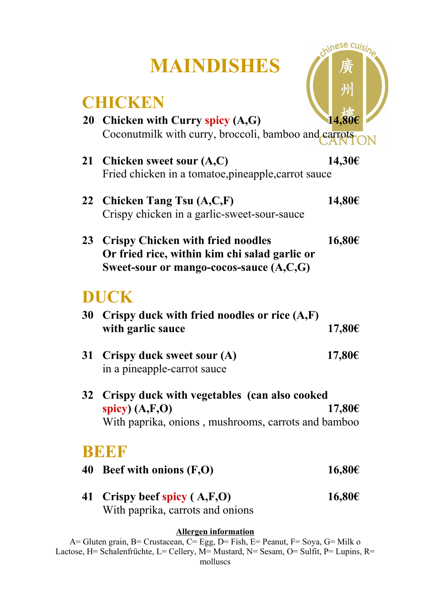# **MAINDISHES**

chinese cuisine

州

## **CHICKEN**

|           | CHICNDI                                                                                                                          |        |
|-----------|----------------------------------------------------------------------------------------------------------------------------------|--------|
| <b>20</b> | Chicken with Curry spicy (A,G)<br>Coconutmilk with curry, broccoli, bamboo and carrots                                           | 14,80€ |
|           | 21 Chicken sweet sour (A,C)<br>Fried chicken in a tomatoe, pineapple, carrot sauce                                               | 14,30€ |
|           | 22 Chicken Tang Tsu (A,C,F)<br>Crispy chicken in a garlic-sweet-sour-sauce                                                       | 14,80€ |
|           | 23 Crispy Chicken with fried noodles<br>Or fried rice, within kim chi salad garlic or<br>Sweet-sour or mango-cocos-sauce (A,C,G) | 16,80€ |
|           | <b>DUCK</b>                                                                                                                      |        |
| 30        | Crispy duck with fried noodles or rice $(A,F)$<br>with garlic sauce                                                              | 17,80€ |
| 31        | Crispy duck sweet sour (A)<br>in a pineapple-carrot sauce                                                                        | 17,80€ |
| 32        | Crispy duck with vegetables (can also cooked<br>spicy) $(A, F, O)$<br>With paprika, onions, mushrooms, carrots and bamboo        | 17,80€ |
| BE        | КH                                                                                                                               |        |

- **40 Beef with onions (F,O) 16,80€**
- **41 Crispy beef spicy ( A,F,O) 16,80€** With paprika, carrots and onions

#### **Allergen information**

A= Gluten grain, B= Crustacean, C= Egg, D= Fish, E= Peanut, F= Soya, G= Milk o Lactose, H= Schalenfrüchte, L= Cellery, M= Mustard, N= Sesam, O= Sulfit, P= Lupins, R= molluscs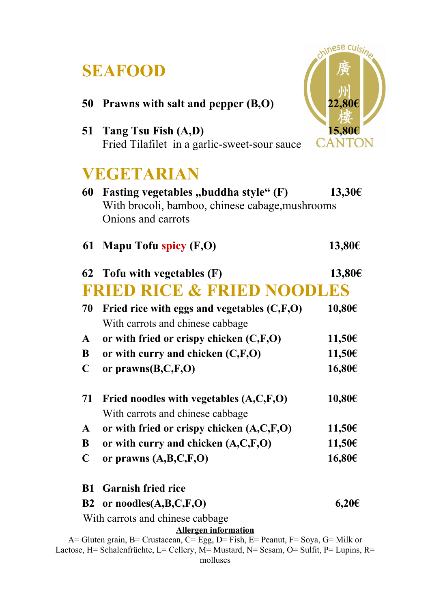## **SEAFOOD**



Lactose, H= Schalenfrüchte, L= Cellery, M= Mustard, N= Sesam, O= Sulfit, P= Lupins, R= molluscs

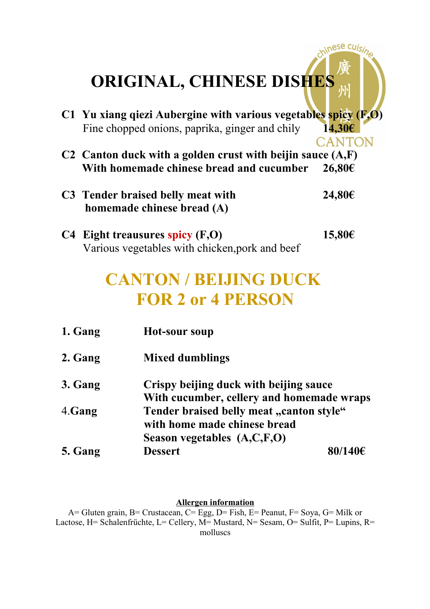# **ORIGINAL, CHINESE DISHES**

**C1 Yu xiang qiezi Aubergine with various vegetables spicy (F,O)**  Fine chopped onions, paprika, ginger and chily **14,30€**

hinese cuisin

**CANTON** 

- **C2 Canton duck with a golden crust with beijin sauce (A,F) With homemade chinese bread and cucumber 26,80€**
- **C3 Tender braised belly meat with 24,80€ homemade chinese bread (A)**
- **C4 Eight treausures spicy (F,O) 15,80€** Various vegetables with chicken,pork and beef

## **CANTON / BEIJING DUCK FOR 2 or 4 PERSON**

| 1. Gang | Hot-sour soup                                                                                           |         |  |
|---------|---------------------------------------------------------------------------------------------------------|---------|--|
| 2. Gang | <b>Mixed dumblings</b>                                                                                  |         |  |
| 3. Gang | Crispy beijing duck with beijing sauce<br>With cucumber, cellery and homemade wraps                     |         |  |
| 4.Gang  | Tender braised belly meat "canton style"<br>with home made chinese bread<br>Season vegetables (A,C,F,O) |         |  |
| 5. Gang | <b>Dessert</b>                                                                                          | 80/140€ |  |

#### **Allergen information**

A= Gluten grain, B= Crustacean, C= Egg, D= Fish, E= Peanut, F= Soya, G= Milk or Lactose, H= Schalenfrüchte, L= Cellery, M= Mustard, N= Sesam, O= Sulfit, P= Lupins, R= molluscs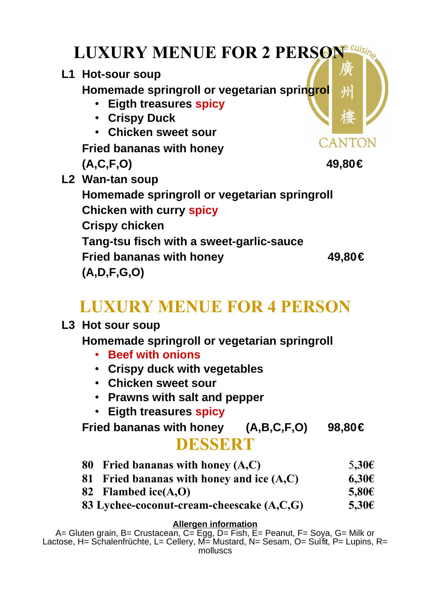| <b>LUXURY MENUE FOR 2 PERSON</b>                                                                                                                                       |             |  |
|------------------------------------------------------------------------------------------------------------------------------------------------------------------------|-------------|--|
| L1 Hot-sour soup<br>Homemade springroll or vegetarian springrol<br>• Eigth treasures spicy<br>• Crispy Duck<br>• Chicken sweet sour<br><b>Fried bananas with honey</b> | 小<br>CANTON |  |
| (A, C, F, O)                                                                                                                                                           | 49,80€      |  |
| L2 Wan-tan soup<br>Homemade springroll or vegetarian springroll<br><b>Chicken with curry spicy</b><br><b>Crispy chicken</b>                                            |             |  |
| Tang-tsu fisch with a sweet-garlic-sauce<br><b>Fried bananas with honey</b><br>(A, D, F, G, O)                                                                         | 49,80€      |  |

# **LUXURY MENUE FOR 4 PERSON**

## **L3 Hot sour soup**

**Homemade springroll or vegetarian springroll**

- **Beef with onions**
- **Crispy duck with vegetables**
- **Chicken sweet sour**
- **Prawns with salt and pepper**
- **Eigth treasures spicy**

**Fried bananas with honey (A,B,C,F,O) 98,80€ DESSERT**

- **80 Fried bananas with honey (A,C)** 5**,30€**
- **81 Fried bananas with honey and ice (A,C) 6,30€**
- **82 Flambed ice(A,O) 5,80€**
- **83 Lychee-coconut-cream-cheescake (A,C,G) 5,30€**

#### **Allergen information**

A= Gluten grain, B= Crustacean, C= Egg, D= Fish, E= Peanut, F= Soya, G= Milk or Lactose, H= Schalenfrüchte, L= Cellery, M= Mustard, N= Sesam, O= Sulfit, P= Lupins, R= molluscs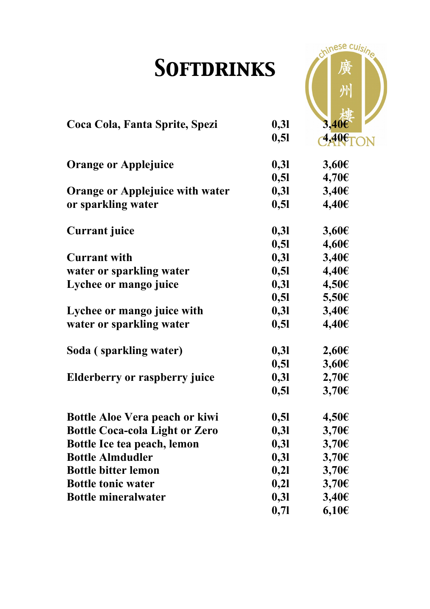# *Softdrinks*

chinese cuisine

晤

| UVI I DINII 1110 |            |
|------------------|------------|
|                  |            |
|                  | $3,40 \in$ |
| 0, 51            | 4,40€      |
| 0,31             | $3,60 \in$ |
| 0,51             | $4,70 \in$ |
| 0,31             | $3,40 \in$ |
| 0,51             | $4,40 \in$ |
| 0,31             | $3,60 \in$ |
| 0,51             | 4,60€      |
| 0,31             | $3,40 \in$ |
| 0,51             | $4,40 \in$ |
| 0,31             | 4,50€      |
| 0,51             | $5,50 \in$ |
| 0,31             | $3,40 \in$ |
| 0,51             | $4,40 \in$ |
| 0,31             | $2,60 \in$ |
| 0,51             | $3,60 \in$ |
| 0,31             | $2,70 \in$ |
| 0,51             | $3,70 \in$ |
| 0,51             | $4,50 \in$ |
| 0,31             | $3,70 \in$ |
| 0,31             | $3,70$ €   |
| 0,31             | $3,70 \in$ |
| 0,21             | $3,70$ €   |
| 0,21             | $3,70$ €   |
| 0,31             | $3,40 \in$ |
| 0, 71            | $6,10 \in$ |
|                  | 0,31       |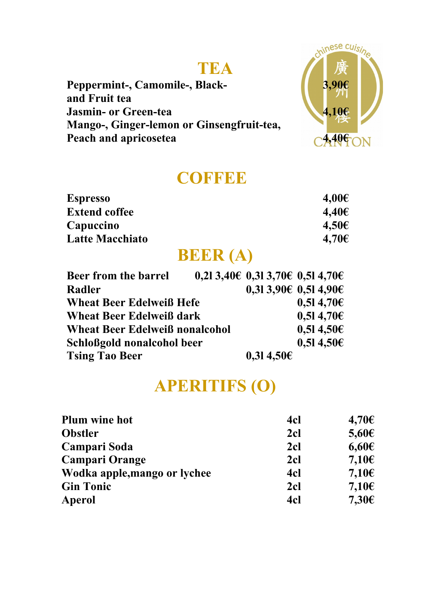## **TEA**

**Peppermint-, Camomile-, Black- 3,90€ and Fruit tea Jasmin- or Green-tea 4,10€ Mango-, Ginger-lemon or Ginsengfruit-tea, Peach and apricosetea 4,40€** 



## **COFFEE**

| <b>Espresso</b>        | $4,00 \in$ |
|------------------------|------------|
| <b>Extend coffee</b>   | 4,40€      |
| Capuccino              | $4,50 \in$ |
| <b>Latte Macchiato</b> | $4,70 \in$ |

## **BEER (A)**

| Beer from the barrel                  |  | $0,213,40€$ 0,31 3,70€ 0,51 4,70€ |                |
|---------------------------------------|--|-----------------------------------|----------------|
| Radler                                |  | $0,313,90 \in 0,514,90 \in$       |                |
| <b>Wheat Beer Edelweiß Hefe</b>       |  |                                   | $0,514,70 \in$ |
| <b>Wheat Beer Edelweiß dark</b>       |  | $0,514,70 \in$                    |                |
| <b>Wheat Beer Edelweiß nonalcohol</b> |  |                                   | 0,514,506      |
| Schloßgold nonalcohol beer            |  |                                   | 0,514,506      |
| <b>Tsing Tao Beer</b>                 |  | 0,314,506                         |                |

## **APERITIFS (O)**

| 4 <sub>cl</sub> | $4,70 \in$      |
|-----------------|-----------------|
| 2cl             | $5,60 \in$      |
| 2 <sub>cl</sub> | $6,60 \in$      |
| 2 <sub>cl</sub> | 7,10 $\epsilon$ |
| 4cl             | 7,10 $\epsilon$ |
| 2cl             | $7,10 \in$      |
| 4cl             | $7,30 \in$      |
|                 |                 |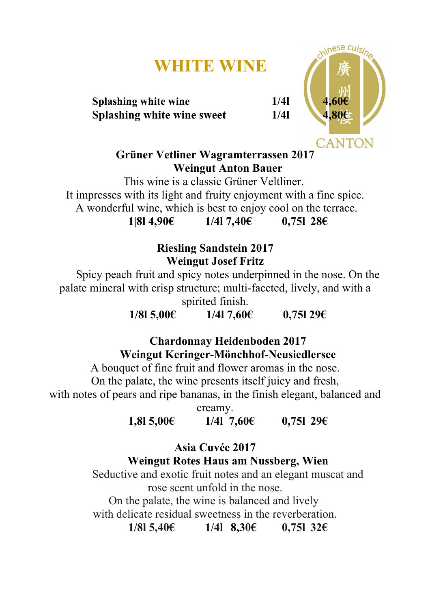## **WHITE WINE**

**Splashing white wine 1/4 Splashing white wine sweet 1/4l 4,80€**



**Grüner Vetliner Wagramterrassen 2017 Weingut Anton Bauer**

This wine is a classic Grüner Veltliner. It impresses with its light and fruity enjoyment with a fine spice. A wonderful wine, which is best to enjoy cool on the terrace. **1|8l 4,90€ 1/4l 7,40€ 0,75l 28€**

> **Riesling Sandstein 2017 Weingut Josef Fritz**

Spicy peach fruit and spicy notes underpinned in the nose. On the palate mineral with crisp structure; multi-faceted, lively, and with a spirited finish.

**1/8l 5,00€ 1/4l 7,60€ 0,75l 29€**

**Chardonnay Heidenboden 2017 Weingut Keringer-Mönchhof-Neusiedlersee**

A bouquet of fine fruit and flower aromas in the nose.

 On the palate, the wine presents itself juicy and fresh, with notes of pears and ripe bananas, in the finish elegant, balanced and

creamy.

**1,8l 5,00€ 1/4l 7,60€ 0,75l 29€**

**Asia Cuvée 2017 Weingut Rotes Haus am Nussberg, Wien**

Seductive and exotic fruit notes and an elegant muscat and rose scent unfold in the nose.

On the palate, the wine is balanced and lively with delicate residual sweetness in the reverberation.

**1/8l 5,40€ 1/4l 8,30€ 0,75l 32€**